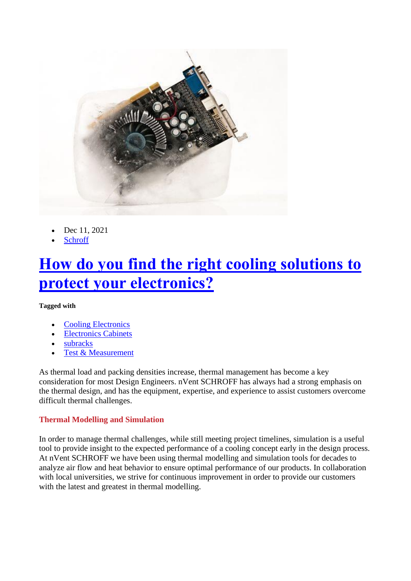

- Dec 11, 2021
- **Schroff**

## **[How do you find the right cooling solutions to](https://blog.nvent.com/chassis-cooling-solutions/)  [protect your electronics?](https://blog.nvent.com/chassis-cooling-solutions/)**

## **Tagged with**

- [Cooling Electronics](https://blog.nvent.com/tag/cooling-electronics/?cat=38)
- [Electronics Cabinets](https://blog.nvent.com/tag/electronics-cabinets/?cat=38)
- [subracks](https://blog.nvent.com/tag/subracks/?cat=38)
- [Test & Measurement](https://blog.nvent.com/tag/test-measurement/?cat=38)

As thermal load and packing densities increase, thermal management has become a key consideration for most Design Engineers. nVent SCHROFF has always had a strong emphasis on the thermal design, and has the equipment, expertise, and experience to assist customers overcome difficult thermal challenges.

## **Thermal Modelling and Simulation**

In order to manage thermal challenges, while still meeting project timelines, simulation is a useful tool to provide insight to the expected performance of a cooling concept early in the design process. At nVent SCHROFF we have been using thermal modelling and simulation tools for decades to analyze air flow and heat behavior to ensure optimal performance of our products. In collaboration with local universities, we strive for continuous improvement in order to provide our customers with the latest and greatest in thermal modelling.